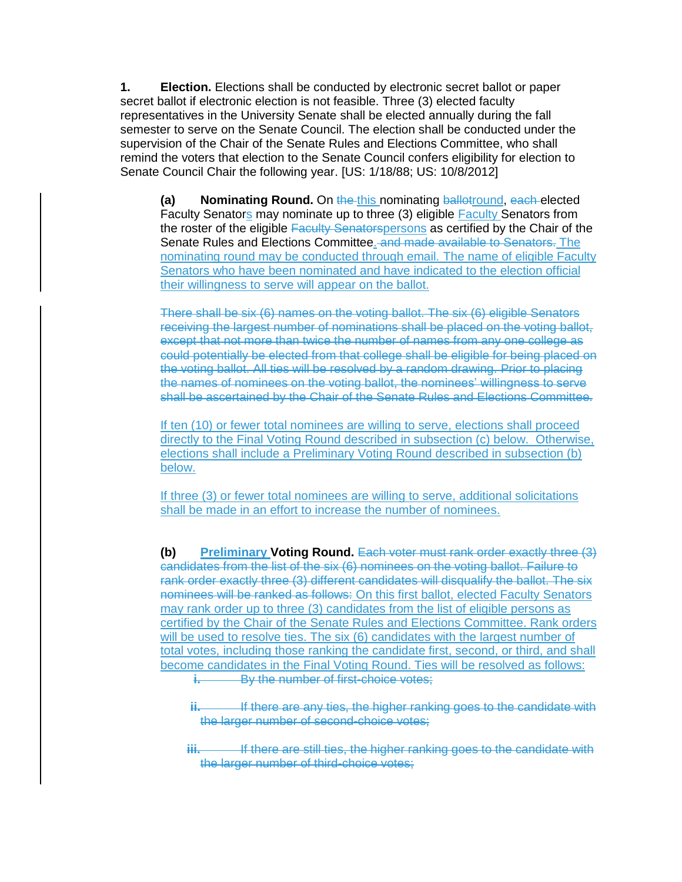**1. Election.** Elections shall be conducted by electronic secret ballot or paper secret ballot if electronic election is not feasible. Three (3) elected faculty representatives in the University Senate shall be elected annually during the fall semester to serve on the Senate Council. The election shall be conducted under the supervision of the Chair of the Senate Rules and Elections Committee, who shall remind the voters that election to the Senate Council confers eligibility for election to Senate Council Chair the following year. [US: 1/18/88; US: 10/8/2012]

**(a) Nominating Round.** On the this nominating ballotround, each elected Faculty Senators may nominate up to three (3) eligible Faculty Senators from the roster of the eligible Faculty Senatorspersons as certified by the Chair of the Senate Rules and Elections Committee. and made available to Senators. The nominating round may be conducted through email. The name of eligible Faculty Senators who have been nominated and have indicated to the election official their willingness to serve will appear on the ballot.

There shall be six (6) names on the voting ballot. The six (6) eligible Senators receiving the largest number of nominations shall be placed on the voting ballot, except that not more than twice the number of names from any one college as could potentially be elected from that college shall be eligible for being placed on the voting ballot. All ties will be resolved by a random drawing. Prior to placing the names of nominees on the voting ballot, the nominees' willingness to serve shall be ascertained by the Chair of the Senate Rules and Elections Committee.

If ten (10) or fewer total nominees are willing to serve, elections shall proceed directly to the Final Voting Round described in subsection (c) below. Otherwise, elections shall include a Preliminary Voting Round described in subsection (b) below.

If three (3) or fewer total nominees are willing to serve, additional solicitations shall be made in an effort to increase the number of nominees.

**(b) Preliminary Voting Round.** Each voter must rank order exactly three (3) candidates from the list of the six (6) nominees on the voting ballot. Failure to rank order exactly three (3) different candidates will disqualify the ballot. The six nominees will be ranked as follows: On this first ballot, elected Faculty Senators may rank order up to three (3) candidates from the list of eligible persons as certified by the Chair of the Senate Rules and Elections Committee. Rank orders will be used to resolve ties. The six (6) candidates with the largest number of total votes, including those ranking the candidate first, second, or third, and shall become candidates in the Final Voting Round. Ties will be resolved as follows:

**i.** By the number of first-choice votes;

**ii.** If there are any ties, the higher ranking goes to the candidate with the larger number of second-choice votes;

**iii.** If there are still ties, the higher ranking goes to the candidate with the larger number of third-choice votes;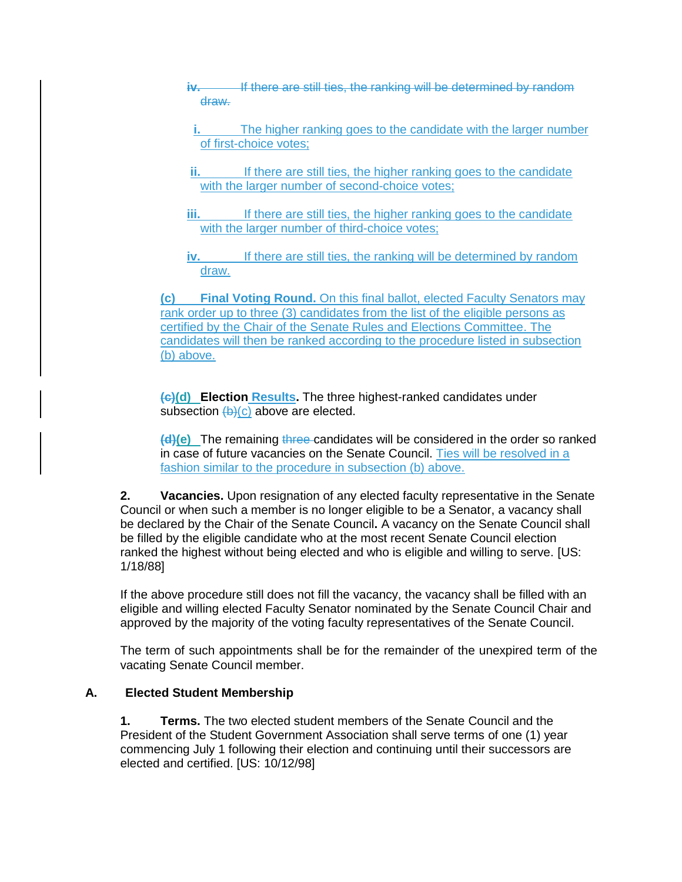- **iv.** If there are still ties, the ranking will be determined by random draw.
- **i.** The higher ranking goes to the candidate with the larger number of first-choice votes;
- **ii.** If there are still ties, the higher ranking goes to the candidate with the larger number of second-choice votes;
- **iii.** If there are still ties, the higher ranking goes to the candidate with the larger number of third-choice votes:
- **iv.** If there are still ties, the ranking will be determined by random draw.

**(c) Final Voting Round.** On this final ballot, elected Faculty Senators may rank order up to three (3) candidates from the list of the eligible persons as certified by the Chair of the Senate Rules and Elections Committee. The candidates will then be ranked according to the procedure listed in subsection (b) above.

**(c)(d) Election Results.** The three highest-ranked candidates under subsection  $(b)(c)$  above are elected.

**(d)(e)** The remaining three candidates will be considered in the order so ranked in case of future vacancies on the Senate Council. Ties will be resolved in a fashion similar to the procedure in subsection (b) above.

**2. Vacancies.** Upon resignation of any elected faculty representative in the Senate Council or when such a member is no longer eligible to be a Senator, a vacancy shall be declared by the Chair of the Senate Council**.** A vacancy on the Senate Council shall be filled by the eligible candidate who at the most recent Senate Council election ranked the highest without being elected and who is eligible and willing to serve. [US: 1/18/88]

If the above procedure still does not fill the vacancy, the vacancy shall be filled with an eligible and willing elected Faculty Senator nominated by the Senate Council Chair and approved by the majority of the voting faculty representatives of the Senate Council.

The term of such appointments shall be for the remainder of the unexpired term of the vacating Senate Council member.

## **A. Elected Student Membership**

**1. Terms.** The two elected student members of the Senate Council and the President of the Student Government Association shall serve terms of one (1) year commencing July 1 following their election and continuing until their successors are elected and certified. [US: 10/12/98]